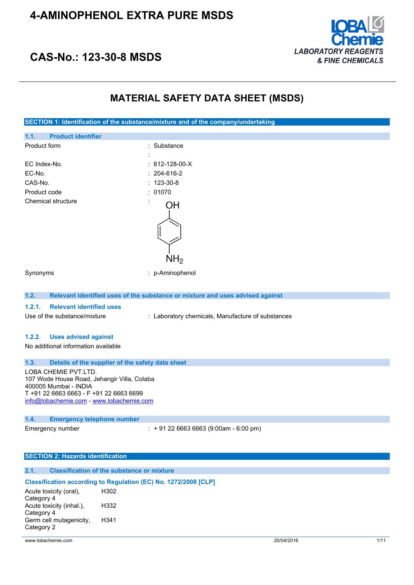

### **CAS-No.: 123-30-8 MSDS**

### **MATERIAL SAFETY DATA SHEET (MSDS)**

**SECTION 1: Identification of the substance/mixture and of the company/undertaking 1.1. Product identifier** Product form : Substance : Substance : EC Index-No. : 612-128-00-X EC-No. : 204-616-2 CAS-No. : 123-30-8 Product code : 01070 Chemical structure OH NH2 Synonyms : p-Aminophenol **1.2. Relevant identified uses of the substance or mixture and uses advised against 1.2.1. Relevant identified uses** Use of the substance/mixture : Laboratory chemicals, Manufacture of substances **1.2.2. Uses advised against** No additional information available **1.3. Details of the supplier of the safety data sheet** LOBA CHEMIE PVT.LTD. 107 Wode House Road, Jehangir Villa, Colaba 400005 Mumbai - INDIA T +91 22 6663 6663 - F +91 22 6663 6699 [info@lobachemie.com](mailto:info@lobachemie.com) - <www.lobachemie.com> **1.4. Emergency telephone number** Emergency number : + 91 22 6663 6663 (9:00am - 6:00 pm) **SECTION 2: Hazards identification 2.1. Classification of the substance or mixture**

#### **Classification according to Regulation (EC) No. 1272/2008 [CLP]** Acute toxicity (oral), Category 4 H302 Acute toxicity (inhal.), Category 4 H332 Germ cell mutagenicity, Category 2 H341

www.lobachemie.com 2004/2016 1/11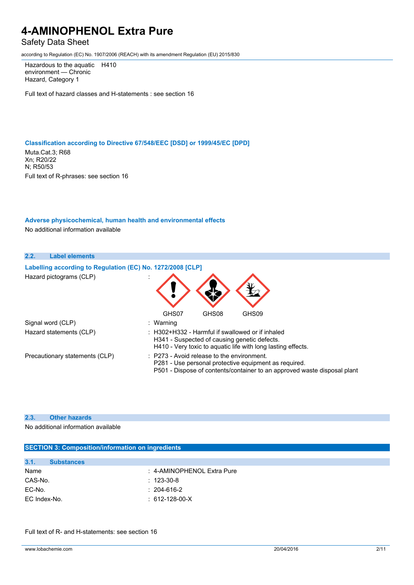### Safety Data Sheet

according to Regulation (EC) No. 1907/2006 (REACH) with its amendment Regulation (EU) 2015/830

Hazardous to the aquatic H410 environment — Chronic Hazard, Category 1

Full text of hazard classes and H-statements : see section 16

#### **Classification according to Directive 67/548/EEC [DSD] or 1999/45/EC [DPD]**

Muta.Cat.3; R68 Xn; R20/22 N; R50/53 Full text of R-phrases: see section 16

#### **Adverse physicochemical, human health and environmental effects**

No additional information available

| 2.2.<br><b>Label elements</b>  |                                                            |           |                                                       |                                                                                                                                   |
|--------------------------------|------------------------------------------------------------|-----------|-------------------------------------------------------|-----------------------------------------------------------------------------------------------------------------------------------|
|                                | Labelling according to Regulation (EC) No. 1272/2008 [CLP] |           |                                                       |                                                                                                                                   |
| Hazard pictograms (CLP)        |                                                            |           |                                                       |                                                                                                                                   |
|                                |                                                            | GHS07     | GHS08                                                 | GHS09                                                                                                                             |
| Signal word (CLP)              |                                                            | : Warning |                                                       |                                                                                                                                   |
| Hazard statements (CLP)        |                                                            |           | H341 - Suspected of causing genetic defects.          | : H302+H332 - Harmful if swallowed or if inhaled<br>H410 - Very toxic to aquatic life with long lasting effects.                  |
| Precautionary statements (CLP) |                                                            |           | $\therefore$ P273 - Avoid release to the environment. | P281 - Use personal protective equipment as required.<br>P501 - Dispose of contents/container to an approved waste disposal plant |

#### **2.3. Other hazards**

No additional information available

### **SECTION 3: Composition/information on ingredients**

| 3.1.<br><b>Substances</b> |                            |
|---------------------------|----------------------------|
| Name                      | : 4-AMINOPHENOL Extra Pure |
| CAS-No.                   | $: 123-30-8$               |
| EC-No.                    | $: 204-616-2$              |
| EC Index-No.              | $: 612 - 128 - 00 - X$     |

Full text of R- and H-statements: see section 16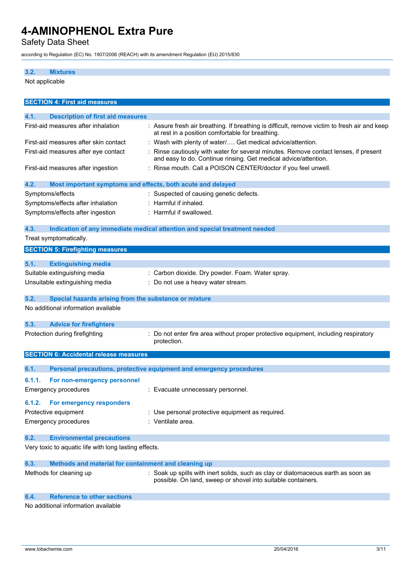Safety Data Sheet

according to Regulation (EC) No. 1907/2006 (REACH) with its amendment Regulation (EU) 2015/830

### **3.2. Mixtures**

Not applicable

| <b>SECTION 4: First aid measures</b>                                |                                                                                                                                                       |
|---------------------------------------------------------------------|-------------------------------------------------------------------------------------------------------------------------------------------------------|
| 4.1.<br><b>Description of first aid measures</b>                    |                                                                                                                                                       |
| First-aid measures after inhalation                                 | : Assure fresh air breathing. If breathing is difficult, remove victim to fresh air and keep<br>at rest in a position comfortable for breathing.      |
| First-aid measures after skin contact                               | : Wash with plenty of water/ Get medical advice/attention.                                                                                            |
| First-aid measures after eye contact                                | Rinse cautiously with water for several minutes. Remove contact lenses, if present<br>and easy to do. Continue rinsing. Get medical advice/attention. |
| First-aid measures after ingestion                                  | : Rinse mouth. Call a POISON CENTER/doctor if you feel unwell.                                                                                        |
| 4.2.<br>Most important symptoms and effects, both acute and delayed |                                                                                                                                                       |
| Symptoms/effects                                                    | : Suspected of causing genetic defects.                                                                                                               |
| Symptoms/effects after inhalation                                   | Harmful if inhaled.                                                                                                                                   |
| Symptoms/effects after ingestion                                    | : Harmful if swallowed.                                                                                                                               |
| 4.3.                                                                | Indication of any immediate medical attention and special treatment needed                                                                            |
| Treat symptomatically.                                              |                                                                                                                                                       |
| <b>SECTION 5: Firefighting measures</b>                             |                                                                                                                                                       |
| 5.1.<br><b>Extinguishing media</b>                                  |                                                                                                                                                       |
| Suitable extinguishing media                                        | : Carbon dioxide. Dry powder. Foam. Water spray.                                                                                                      |
| Unsuitable extinguishing media                                      | : Do not use a heavy water stream.                                                                                                                    |
|                                                                     |                                                                                                                                                       |
| 5.2.<br>Special hazards arising from the substance or mixture       |                                                                                                                                                       |
| No additional information available                                 |                                                                                                                                                       |
| 5.3.<br><b>Advice for firefighters</b>                              |                                                                                                                                                       |
| Protection during firefighting                                      | Do not enter fire area without proper protective equipment, including respiratory                                                                     |
|                                                                     | protection.                                                                                                                                           |
| <b>SECTION 6: Accidental release measures</b>                       |                                                                                                                                                       |
|                                                                     |                                                                                                                                                       |
| 6.1.                                                                | Personal precautions, protective equipment and emergency procedures                                                                                   |
| 6.1.1.<br>For non-emergency personnel                               |                                                                                                                                                       |
| <b>Emergency procedures</b>                                         | : Evacuate unnecessary personnel.                                                                                                                     |
| 6.1.2. For emergency responders                                     |                                                                                                                                                       |
| Protective equipment                                                | : Use personal protective equipment as required.                                                                                                      |
| <b>Emergency procedures</b>                                         | : Ventilate area.                                                                                                                                     |
| <b>Environmental precautions</b><br>6.2.                            |                                                                                                                                                       |
| Very toxic to aquatic life with long lasting effects.               |                                                                                                                                                       |
| Methods and material for containment and cleaning up<br>6.3.        |                                                                                                                                                       |
| Methods for cleaning up                                             | : Soak up spills with inert solids, such as clay or diatomaceous earth as soon as<br>possible. On land, sweep or shovel into suitable containers.     |

#### **6.4. Reference to other sections**

No additional information available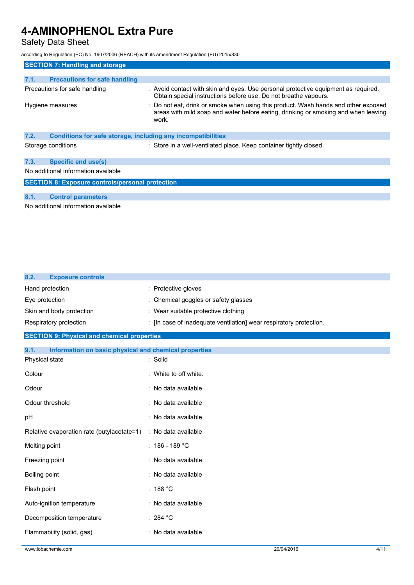### Safety Data Sheet

according to Regulation (EC) No. 1907/2006 (REACH) with its amendment Regulation (EU) 2015/830

|      | <b>SECTION 7: Handling and storage</b>                              |                                                                                                                                                                                   |
|------|---------------------------------------------------------------------|-----------------------------------------------------------------------------------------------------------------------------------------------------------------------------------|
|      |                                                                     |                                                                                                                                                                                   |
| 7.1. | <b>Precautions for safe handling</b>                                |                                                                                                                                                                                   |
|      | Precautions for safe handling                                       | : Avoid contact with skin and eyes. Use personal protective equipment as required.<br>Obtain special instructions before use. Do not breathe vapours.                             |
|      | Hygiene measures                                                    | : Do not eat, drink or smoke when using this product. Wash hands and other exposed<br>areas with mild soap and water before eating, drinking or smoking and when leaving<br>work. |
| 7.2. | <b>Conditions for safe storage, including any incompatibilities</b> |                                                                                                                                                                                   |
|      | Storage conditions                                                  | : Store in a well-ventilated place. Keep container tightly closed.                                                                                                                |
| 7.3. | <b>Specific end use(s)</b>                                          |                                                                                                                                                                                   |
|      | No additional information available                                 |                                                                                                                                                                                   |
|      | <b>SECTION 8: Exposure controls/personal protection</b>             |                                                                                                                                                                                   |
|      |                                                                     |                                                                                                                                                                                   |
| 8.1. | <b>Control parameters</b>                                           |                                                                                                                                                                                   |
|      | No additional information quailable                                 |                                                                                                                                                                                   |

No additional information available

| 8.2.<br><b>Exposure controls</b>                              |                                                                    |
|---------------------------------------------------------------|--------------------------------------------------------------------|
| Hand protection                                               | : Protective gloves                                                |
| Eye protection                                                | : Chemical goggles or safety glasses                               |
| Skin and body protection                                      | : Wear suitable protective clothing                                |
| Respiratory protection                                        | : [In case of inadequate ventilation] wear respiratory protection. |
| <b>SECTION 9: Physical and chemical properties</b>            |                                                                    |
| Information on basic physical and chemical properties<br>9.1. |                                                                    |
| Physical state                                                | : Solid                                                            |
| Colour                                                        | : White to off white.                                              |
| Odour                                                         | : No data available                                                |
| Odour threshold                                               | : No data available                                                |
| pH                                                            | : No data available                                                |
| Relative evaporation rate (butylacetate=1)                    | : No data available                                                |
| Melting point                                                 | $: 186 - 189 °C$                                                   |
| Freezing point                                                | : No data available                                                |
| Boiling point                                                 | : No data available                                                |
| Flash point                                                   | : $188 °C$                                                         |
| Auto-ignition temperature                                     | : No data available                                                |
| Decomposition temperature                                     | : 284 $^{\circ}$ C                                                 |
| Flammability (solid, gas)                                     | : No data available                                                |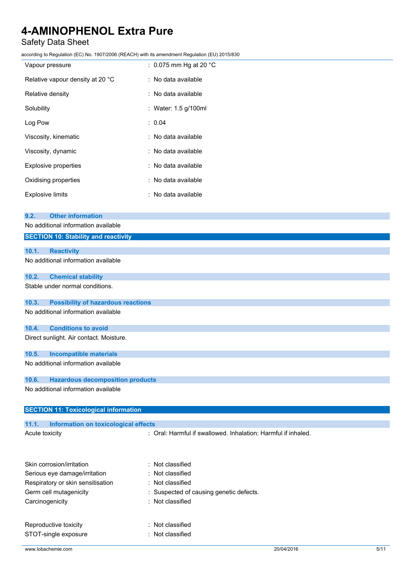### Safety Data Sheet

|                                                    | ccording to Regulation (EC) No. 1907/2006 (REACH) with its amendment Regulation (EU) 2015/830 |  |
|----------------------------------------------------|-----------------------------------------------------------------------------------------------|--|
| Vapour pressure                                    | : 0.075 mm Hg at 20 $^{\circ}$ C                                                              |  |
| Relative vapour density at 20 °C                   | : No data available                                                                           |  |
| Relative density                                   | : No data available                                                                           |  |
| Solubility                                         | : Water: 1.5 g/100ml                                                                          |  |
| Log Pow                                            | : 0.04                                                                                        |  |
| Viscosity, kinematic                               | : No data available                                                                           |  |
| Viscosity, dynamic                                 | No data available                                                                             |  |
| Explosive properties                               | No data available                                                                             |  |
| Oxidising properties                               | No data available                                                                             |  |
| <b>Explosive limits</b>                            | : No data available                                                                           |  |
| <b>Other information</b><br>9.2.                   |                                                                                               |  |
| No additional information available                |                                                                                               |  |
| <b>SECTION 10: Stability and reactivity</b>        |                                                                                               |  |
| 10.1.<br><b>Reactivity</b>                         |                                                                                               |  |
| No additional information available                |                                                                                               |  |
| 10.2.<br><b>Chemical stability</b>                 |                                                                                               |  |
| Stable under normal conditions.                    |                                                                                               |  |
| <b>Possibility of hazardous reactions</b><br>10.3. |                                                                                               |  |
| No additional information available                |                                                                                               |  |
| 10.4.<br><b>Conditions to avoid</b>                |                                                                                               |  |
| Direct sunlight. Air contact. Moisture.            |                                                                                               |  |
| 10.5.<br><b>Incompatible materials</b>             |                                                                                               |  |
| No additional information available                |                                                                                               |  |
| <b>Hazardous decomposition products</b><br>10.6.   |                                                                                               |  |
| No additional information available                |                                                                                               |  |
| <b>SECTION 11: Toxicological information</b>       |                                                                                               |  |

| www.lobachemie.com                            | 20/04/2016                                                    | 5/11 |
|-----------------------------------------------|---------------------------------------------------------------|------|
| STOT-single exposure                          | : Not classified                                              |      |
| Reproductive toxicity                         | : Not classified                                              |      |
|                                               |                                                               |      |
| Carcinogenicity                               | : Not classified                                              |      |
| Germ cell mutagenicity                        | : Suspected of causing genetic defects.                       |      |
| Respiratory or skin sensitisation             | : Not classified                                              |      |
| Serious eye damage/irritation                 | $:$ Not classified                                            |      |
| Skin corrosion/irritation                     | $:$ Not classified                                            |      |
|                                               |                                                               |      |
| Acute toxicity                                | : Oral: Harmful if swallowed, Inhalation: Harmful if inhaled. |      |
| Information on toxicological effects<br>11.1. |                                                               |      |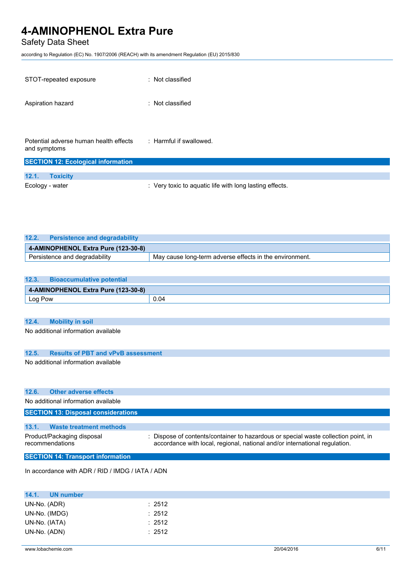### Safety Data Sheet

according to Regulation (EC) No. 1907/2006 (REACH) with its amendment Regulation (EU) 2015/830

| STOT-repeated exposure                                 | : Not classified        |
|--------------------------------------------------------|-------------------------|
| Aspiration hazard                                      | : Not classified        |
|                                                        |                         |
| Potential adverse human health effects<br>and symptoms | : Harmful if swallowed. |
| <b>SECTION 12: Ecological information</b>              |                         |
| 12.1.<br><b>Toxicity</b>                               |                         |

Ecology - water **interpretent in the Cology - water**  $\cdot$  Very toxic to aquatic life with long lasting effects.

| 12.2. | <b>Persistence and degradability</b> |                                                         |
|-------|--------------------------------------|---------------------------------------------------------|
|       | 4-AMINOPHENOL Extra Pure (123-30-8)  |                                                         |
|       | Persistence and degradability        | May cause long-term adverse effects in the environment. |

| 12.3.                               | <b>Bioaccumulative potential</b> |      |
|-------------------------------------|----------------------------------|------|
| 4-AMINOPHENOL Extra Pure (123-30-8) |                                  |      |
| Log Pow                             |                                  | 0.04 |

#### **12.4. Mobility in soil**

No additional information available

#### **12.5. Results of PBT and vPvB assessment**

No additional information available

| <b>Other adverse effects</b><br>12.6.            |                                                                                                                                                                  |
|--------------------------------------------------|------------------------------------------------------------------------------------------------------------------------------------------------------------------|
| No additional information available              |                                                                                                                                                                  |
| <b>SECTION 13: Disposal considerations</b>       |                                                                                                                                                                  |
| 13.1.<br>Waste treatment methods                 |                                                                                                                                                                  |
| Product/Packaging disposal<br>recommendations    | : Dispose of contents/container to hazardous or special waste collection point, in<br>accordance with local, regional, national and/or international regulation. |
| <b>SECTION 14: Transport information</b>         |                                                                                                                                                                  |
| In accordance with ADR / RID / IMDG / IATA / ADN |                                                                                                                                                                  |
| 14.1.<br>UN number                               |                                                                                                                                                                  |
| UN-No. (ADR)                                     | : 2512                                                                                                                                                           |
| UN-No. (IMDG)                                    | : 2512                                                                                                                                                           |
| UN-No. (IATA)                                    | $\therefore$ 2512                                                                                                                                                |
| UN-No. (ADN)                                     | : 2512                                                                                                                                                           |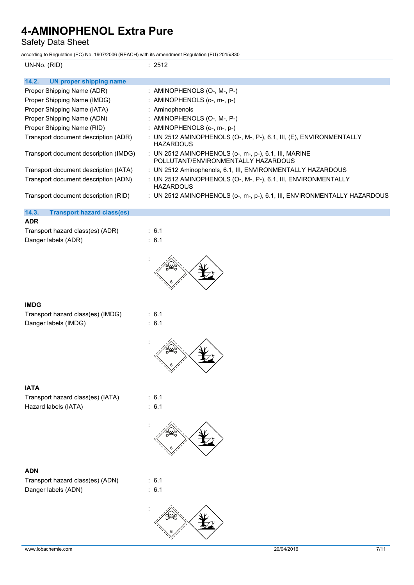Safety Data Sheet

according to Regulation (EC) No. 1907/2006 (REACH) with its amendment Regulation (EU) 2015/830

| according to Regulation (EC) No. 1907/2006 (REACH) with its amendment Regulation (EO) 2015/830 |                                                                                              |
|------------------------------------------------------------------------------------------------|----------------------------------------------------------------------------------------------|
| UN-No. (RID)                                                                                   | : 2512                                                                                       |
| 14.2.<br><b>UN proper shipping name</b>                                                        |                                                                                              |
| Proper Shipping Name (ADR)                                                                     | : AMINOPHENOLS (O-, M-, P-)                                                                  |
| Proper Shipping Name (IMDG)                                                                    | : AMINOPHENOLS (o-, m-, p-)                                                                  |
| Proper Shipping Name (IATA)                                                                    | : Aminophenols                                                                               |
| Proper Shipping Name (ADN)                                                                     | : AMINOPHENOLS (O-, M-, P-)                                                                  |
| Proper Shipping Name (RID)                                                                     | : AMINOPHENOLS (o-, m-, p-)                                                                  |
| Transport document description (ADR)                                                           | : UN 2512 AMINOPHENOLS (O-, M-, P-), 6.1, III, (E), ENVIRONMENTALLY<br><b>HAZARDOUS</b>      |
| Transport document description (IMDG)                                                          | : UN 2512 AMINOPHENOLS (o-, m-, p-), 6.1, III, MARINE<br>POLLUTANT/ENVIRONMENTALLY HAZARDOUS |
| Transport document description (IATA)                                                          | : UN 2512 Aminophenols, 6.1, III, ENVIRONMENTALLY HAZARDOUS                                  |
| Transport document description (ADN)                                                           | : UN 2512 AMINOPHENOLS (O-, M-, P-), 6.1, III, ENVIRONMENTALLY<br><b>HAZARDOUS</b>           |
| Transport document description (RID)                                                           | : UN 2512 AMINOPHENOLS (o-, m-, p-), 6.1, III, ENVIRONMENTALLY HAZARDOUS                     |
| 14.3.<br><b>Transport hazard class(es)</b>                                                     |                                                                                              |
| <b>ADR</b>                                                                                     |                                                                                              |
| Transport hazard class(es) (ADR)                                                               | : 6.1<br>: 6.1                                                                               |
| Danger labels (ADR)                                                                            |                                                                                              |
|                                                                                                |                                                                                              |
| <b>IMDG</b>                                                                                    |                                                                                              |
| Transport hazard class(es) (IMDG)                                                              | : 6.1                                                                                        |
| Danger labels (IMDG)                                                                           | : 6.1                                                                                        |
|                                                                                                |                                                                                              |
| <b>IATA</b>                                                                                    |                                                                                              |
| Transport hazard class(es) (IATA)                                                              | : 6.1                                                                                        |
| Hazard labels (IATA)                                                                           | : 6.1                                                                                        |
|                                                                                                |                                                                                              |
| <b>ADN</b><br>Transport hazard class(es) (ADN)<br>Danger labels (ADN)                          | : 6.1<br>: 6.1                                                                               |
|                                                                                                |                                                                                              |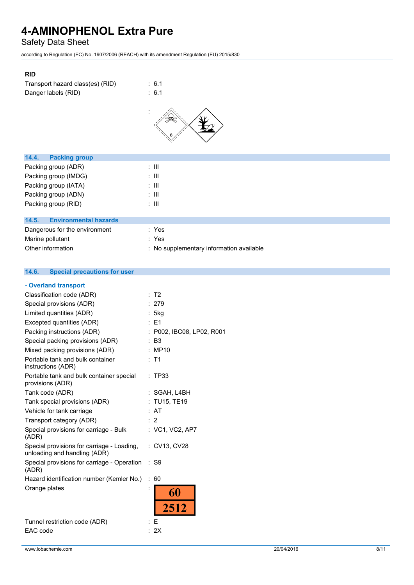Safety Data Sheet

according to Regulation (EC) No. 1907/2006 (REACH) with its amendment Regulation (EU) 2015/830

| <b>RID</b>                       |        |
|----------------------------------|--------|
| Transport hazard class(es) (RID) | : 6.1  |
| Danger labels (RID)              | : 6.1  |
|                                  | ٠<br>6 |

| <b>Packing group</b><br>14.4.         |                                          |
|---------------------------------------|------------------------------------------|
| Packing group (ADR)                   | $\therefore$ III                         |
| Packing group (IMDG)                  | : III                                    |
| Packing group (IATA)                  | ÷ III                                    |
| Packing group (ADN)                   | ÷ III                                    |
| Packing group (RID)                   | ÷ III                                    |
|                                       |                                          |
| <b>Environmental hazards</b><br>14.5. |                                          |
| Dangerous for the environment         | : Yes                                    |
| Marine pollutant                      | : Yes                                    |
| Other information                     | : No supplementary information available |
|                                       |                                          |

#### $14.6.$ **14.6. Special precautions for user**

| - Overland transport                                                       |    |                           |
|----------------------------------------------------------------------------|----|---------------------------|
| Classification code (ADR)                                                  |    | T <sub>2</sub>            |
| Special provisions (ADR)                                                   |    | : 279                     |
| Limited quantities (ADR)                                                   |    | : 5kg                     |
| Excepted quantities (ADR)                                                  |    | $:$ F1                    |
| Packing instructions (ADR)                                                 |    | : P002, IBC08, LP02, R001 |
| Special packing provisions (ADR)                                           |    | : B3                      |
| Mixed packing provisions (ADR)                                             |    | MP10                      |
| Portable tank and bulk container<br>instructions (ADR)                     |    | $:$ T1                    |
| Portable tank and bulk container special<br>provisions (ADR)               |    | : TP33                    |
| Tank code (ADR)                                                            |    | :SGAH, L4BH               |
| Tank special provisions (ADR)                                              |    | : TU15, TE19              |
| Vehicle for tank carriage                                                  |    | : AT                      |
| Transport category (ADR)                                                   |    | : 2                       |
| Special provisions for carriage - Bulk<br>(ADR)                            |    | : VC1, VC2, AP7           |
| Special provisions for carriage - Loading,<br>unloading and handling (ADR) |    | : CV13, CV28              |
| Special provisions for carriage - Operation<br>(ADR)                       |    | : S9                      |
| Hazard identification number (Kemler No.)                                  | ÷. | 60                        |
| Orange plates                                                              | ï  | 60<br>2512                |
| Tunnel restriction code (ADR)                                              |    | E                         |
| EAC code                                                                   |    | 2X                        |
|                                                                            |    |                           |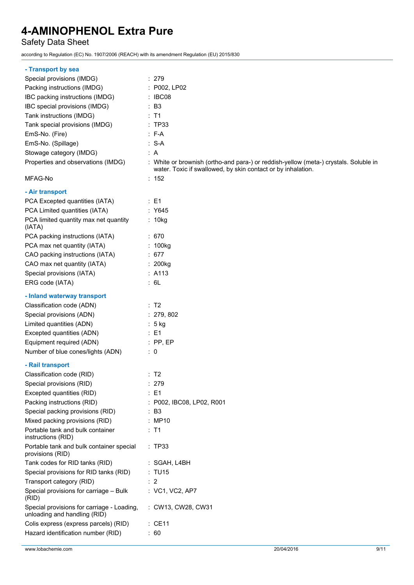### Safety Data Sheet

according to Regulation (EC) No. 1907/2006 (REACH) with its amendment Regulation (EU) 2015/830

| - Transport by sea                                                         |                                                                                                                                                      |
|----------------------------------------------------------------------------|------------------------------------------------------------------------------------------------------------------------------------------------------|
| Special provisions (IMDG)                                                  | : 279                                                                                                                                                |
| Packing instructions (IMDG)                                                | : P002, LP02                                                                                                                                         |
| IBC packing instructions (IMDG)                                            | $\therefore$ IBC08                                                                                                                                   |
| IBC special provisions (IMDG)                                              | $\therefore$ B3                                                                                                                                      |
| Tank instructions (IMDG)                                                   | : T1                                                                                                                                                 |
| Tank special provisions (IMDG)                                             | : TP33                                                                                                                                               |
| EmS-No. (Fire)                                                             | $: F-A$                                                                                                                                              |
| EmS-No. (Spillage)                                                         | $: S-A$                                                                                                                                              |
| Stowage category (IMDG)                                                    | : A                                                                                                                                                  |
| Properties and observations (IMDG)                                         | : White or brownish (ortho-and para-) or reddish-yellow (meta-) crystals. Soluble in<br>water. Toxic if swallowed, by skin contact or by inhalation. |
| MFAG-No                                                                    | : 152                                                                                                                                                |
| - Air transport                                                            |                                                                                                                                                      |
| PCA Excepted quantities (IATA)                                             | $\therefore$ E1                                                                                                                                      |
| PCA Limited quantities (IATA)                                              | : Y645                                                                                                                                               |
| PCA limited quantity max net quantity<br>(IATA)                            | : 10kg                                                                                                                                               |
| PCA packing instructions (IATA)                                            | : 670                                                                                                                                                |
| PCA max net quantity (IATA)                                                | : 100kg                                                                                                                                              |
| CAO packing instructions (IATA)                                            | : 677                                                                                                                                                |
| CAO max net quantity (IATA)                                                | : 200kg                                                                                                                                              |
| Special provisions (IATA)                                                  | : A113                                                                                                                                               |
| ERG code (IATA)                                                            | : 6L                                                                                                                                                 |
| - Inland waterway transport                                                |                                                                                                                                                      |
| Classification code (ADN)                                                  | : T2                                                                                                                                                 |
| Special provisions (ADN)                                                   | : 279, 802                                                                                                                                           |
| Limited quantities (ADN)                                                   | $: 5$ kg                                                                                                                                             |
| Excepted quantities (ADN)                                                  | $\therefore$ E1                                                                                                                                      |
| Equipment required (ADN)                                                   | $:$ PP, EP                                                                                                                                           |
| Number of blue cones/lights (ADN)                                          | $\therefore$ 0                                                                                                                                       |
| - Rail transport                                                           |                                                                                                                                                      |
| Classification code (RID)                                                  | : T2                                                                                                                                                 |
| Special provisions (RID)                                                   | : 279                                                                                                                                                |
| Excepted quantities (RID)                                                  | : E1                                                                                                                                                 |
| Packing instructions (RID)                                                 | : P002, IBC08, LP02, R001                                                                                                                            |
| Special packing provisions (RID)                                           | : B3                                                                                                                                                 |
| Mixed packing provisions (RID)                                             | : MP10                                                                                                                                               |
| Portable tank and bulk container<br>instructions (RID)                     | $:$ T1                                                                                                                                               |
| Portable tank and bulk container special<br>provisions (RID)               | :TP33                                                                                                                                                |
| Tank codes for RID tanks (RID)                                             | : SGAH, L4BH                                                                                                                                         |
| Special provisions for RID tanks (RID)                                     | : TU15                                                                                                                                               |
| Transport category (RID)                                                   | : 2                                                                                                                                                  |
| Special provisions for carriage - Bulk<br>(RID)                            | : VC1, VC2, AP7                                                                                                                                      |
| Special provisions for carriage - Loading,<br>unloading and handling (RID) | : CW13, CW28, CW31                                                                                                                                   |
| Colis express (express parcels) (RID)                                      | $\therefore$ CE11                                                                                                                                    |
| Hazard identification number (RID)                                         | : 60                                                                                                                                                 |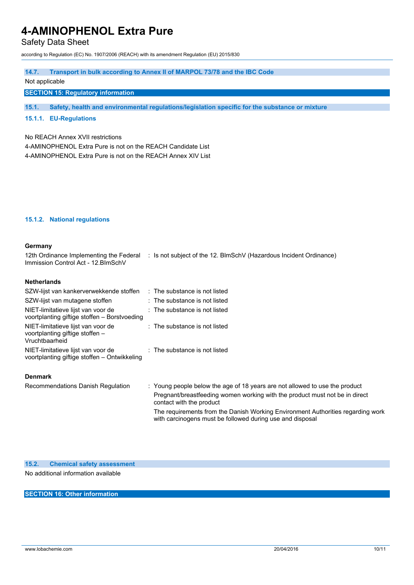Safety Data Sheet

according to Regulation (EC) No. 1907/2006 (REACH) with its amendment Regulation (EU) 2015/830

#### **14.7. Transport in bulk according to Annex II of MARPOL 73/78 and the IBC Code**

#### Not applicable

#### **SECTION 15: Regulatory information**

**15.1. Safety, health and environmental regulations/legislation specific for the substance or mixture**

#### **15.1.1. EU-Regulations**

#### No REACH Annex XVII restrictions

4-AMINOPHENOL Extra Pure is not on the REACH Candidate List 4-AMINOPHENOL Extra Pure is not on the REACH Annex XIV List

#### **15.1.2. National regulations**

| Germany                                                                                 |                                                                                                                                                            |
|-----------------------------------------------------------------------------------------|------------------------------------------------------------------------------------------------------------------------------------------------------------|
| Immission Control Act - 12. BlmSchV                                                     | 12th Ordinance Implementing the Federal : Is not subject of the 12. BlmSchV (Hazardous Incident Ordinance)                                                 |
| <b>Netherlands</b>                                                                      |                                                                                                                                                            |
| SZW-lijst van kankerverwekkende stoffen : The substance is not listed                   |                                                                                                                                                            |
| SZW-lijst van mutagene stoffen                                                          | : The substance is not listed                                                                                                                              |
| NIET-limitatieve lijst van voor de<br>voortplanting giftige stoffen – Borstvoeding      | : The substance is not listed                                                                                                                              |
| NIET-limitatieve lijst van voor de<br>voortplanting giftige stoffen -<br>Vruchtbaarheid | : The substance is not listed                                                                                                                              |
| NIET-limitatieve lijst van voor de<br>voortplanting giftige stoffen – Ontwikkeling      | : The substance is not listed                                                                                                                              |
| <b>Denmark</b>                                                                          |                                                                                                                                                            |
| Recommendations Danish Regulation                                                       | : Young people below the age of 18 years are not allowed to use the product<br>Pregnant/breastfeeding women working with the product must not be in direct |

with carcinogens must be followed during use and disposal

contact with the product

**15.2. Chemical safety assessment**

No additional information available

#### **SECTION 16: Other information**

The requirements from the Danish Working Environment Authorities regarding work